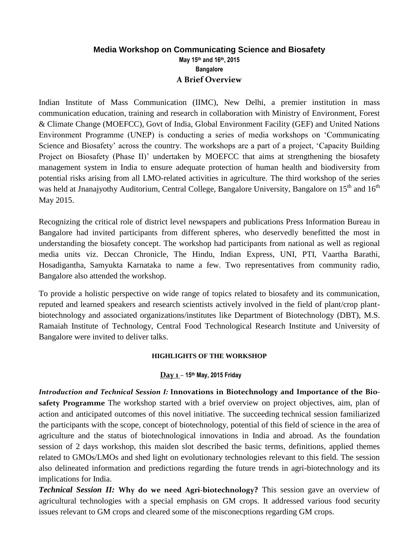# **Media Workshop on Communicating Science and Biosafety May 15th and 16th, 2015 Bangalore A Brief Overview**

Indian Institute of Mass Communication (IIMC), New Delhi, a premier institution in mass communication education, training and research in collaboration with Ministry of Environment, Forest & Climate Change (MOEFCC), Govt of India, Global Environment Facility (GEF) and United Nations Environment Programme (UNEP) is conducting a series of media workshops on 'Communicating Science and Biosafety' across the country. The workshops are a part of a project, 'Capacity Building Project on Biosafety (Phase II)' undertaken by MOEFCC that aims at strengthening the biosafety management system in India to ensure adequate protection of human health and biodiversity from potential risks arising from all LMO-related activities in agriculture. The third workshop of the series was held at Jnanajyothy Auditorium, Central College, Bangalore University, Bangalore on 15<sup>th</sup> and 16<sup>th</sup> May 2015.

Recognizing the critical role of district level newspapers and publications Press Information Bureau in Bangalore had invited participants from different spheres, who deservedly benefitted the most in understanding the biosafety concept. The workshop had participants from national as well as regional media units viz. Deccan Chronicle, The Hindu, Indian Express, UNI, PTI, Vaartha Barathi, Hosadigantha, Samyukta Karnataka to name a few. Two representatives from community radio, Bangalore also attended the workshop.

To provide a holistic perspective on wide range of topics related to biosafety and its communication, reputed and learned speakers and research scientists actively involved in the field of plant/crop plantbiotechnology and associated organizations/institutes like Department of Biotechnology (DBT), M.S. Ramaiah Institute of Technology, Central Food Technological Research Institute and University of Bangalore were invited to deliver talks.

#### **HIGHLIGHTS OF THE WORKSHOP**

### **Day 1** *–* **15th May, 2015 Friday**

*Introduction and Technical Session I:* **Innovations in Biotechnology and Importance of the Biosafety Programme** The workshop started with a brief overview on project objectives, aim, plan of action and anticipated outcomes of this novel initiative. The succeeding technical session familiarized the participants with the scope, concept of biotechnology, potential of this field of science in the area of agriculture and the status of biotechnological innovations in India and abroad. As the foundation session of 2 days workshop, this maiden slot described the basic terms, definitions, applied themes related to GMOs/LMOs and shed light on evolutionary technologies relevant to this field. The session also delineated information and predictions regarding the future trends in agri-biotechnology and its implications for India.

*Technical Session II:* **Why do we need Agri-biotechnology?** This session gave an overview of agricultural technologies with a special emphasis on GM crops. It addressed various food security issues relevant to GM crops and cleared some of the misconecptions regarding GM crops.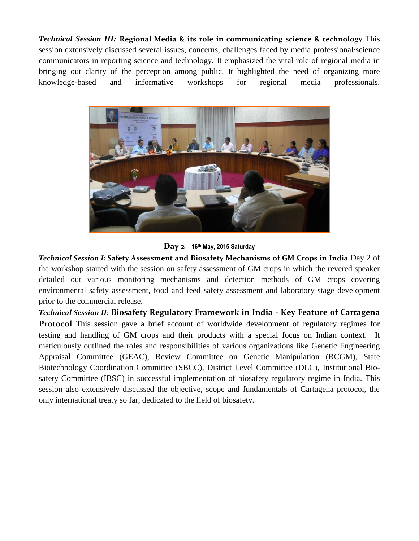*Technical Session III:* **Regional Media & its role in communicating science & technology** This session extensively discussed several issues, concerns, challenges faced by media professional/science communicators in reporting science and technology. It emphasized the vital role of regional media in bringing out clarity of the perception among public. It highlighted the need of organizing more knowledge-based and informative workshops for regional media professionals.



**Day 2** *–* **16th May, 2015 Saturday**

*Technical Session I:* **Safety Assessment and Biosafety Mechanisms of GM Crops in India** Day 2 of the workshop started with the session on safety assessment of GM crops in which the revered speaker detailed out various monitoring mechanisms and detection methods of GM crops covering environmental safety assessment, food and feed safety assessment and laboratory stage development prior to the commercial release.

*Technical Session II:* **Biosafety Regulatory Framework in India - Key Feature of Cartagena Protocol** This session gave a brief account of worldwide development of regulatory regimes for testing and handling of GM crops and their products with a special focus on Indian context. It meticulously outlined the roles and responsibilities of various organizations like Genetic Engineering Appraisal Committee (GEAC), Review Committee on Genetic Manipulation (RCGM), State Biotechnology Coordination Committee (SBCC), District Level Committee (DLC), Institutional Biosafety Committee (IBSC) in successful implementation of biosafety regulatory regime in India. This session also extensively discussed the objective, scope and fundamentals of Cartagena protocol, the only international treaty so far, dedicated to the field of biosafety.